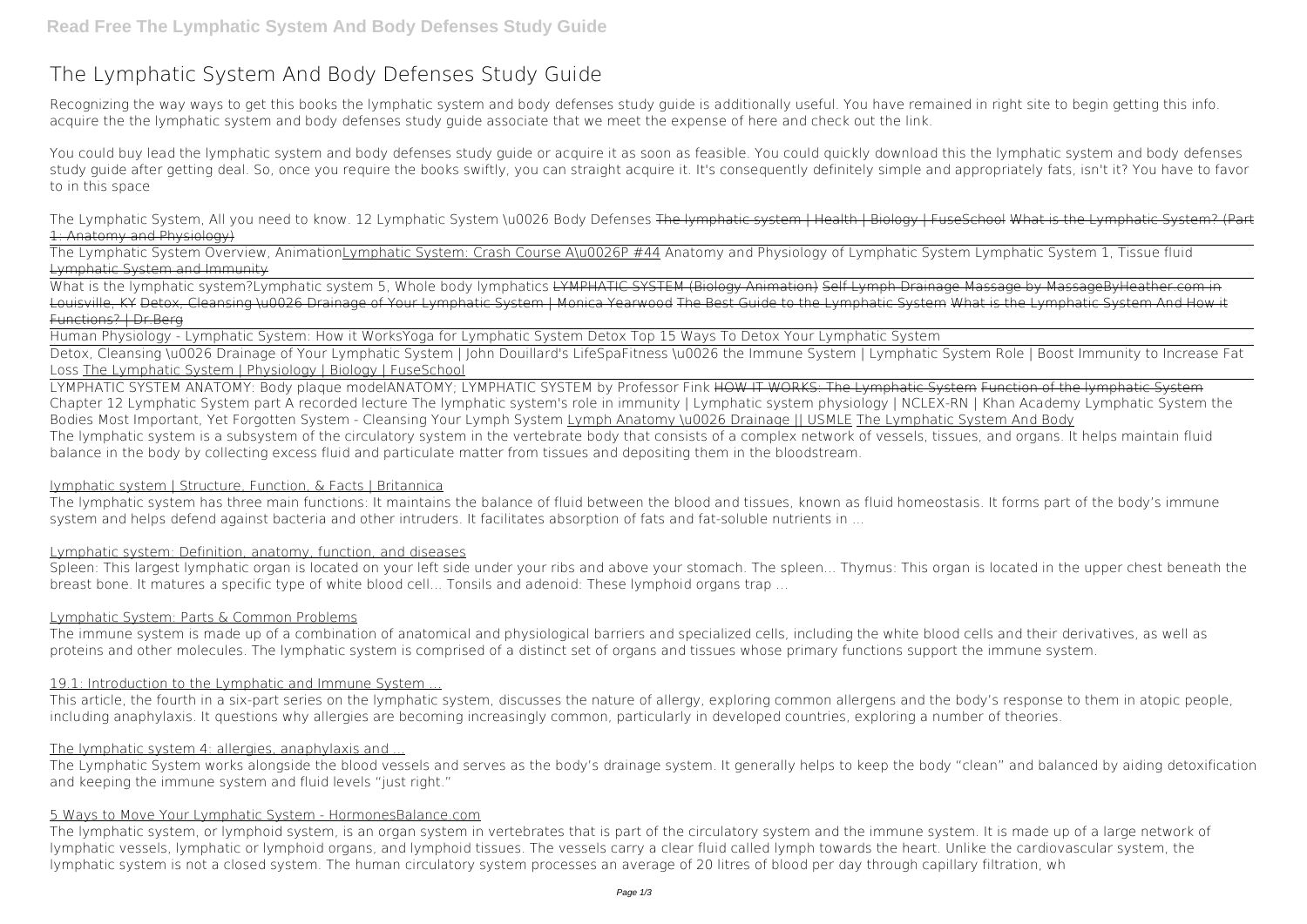# **The Lymphatic System And Body Defenses Study Guide**

Recognizing the way ways to get this books **the lymphatic system and body defenses study guide** is additionally useful. You have remained in right site to begin getting this info. acquire the the lymphatic system and body defenses study guide associate that we meet the expense of here and check out the link.

You could buy lead the lymphatic system and body defenses study quide or acquire it as soon as feasible. You could quickly download this the lymphatic system and body defenses study guide after getting deal. So, once you require the books swiftly, you can straight acquire it. It's consequently definitely simple and appropriately fats, isn't it? You have to favor to in this space

What is the lymphatic system?Lymphatic system 5, Whole body lymphatics LYMPHATIC SYSTEM (Biology Animation) Self Lymph Drainage Massage by MassageByHeather.com in Louisville, KY Detox, Cleansing \u0026 Drainage of Your Lymphatic System | Monica Yearwood The Best Guide to the Lymphatic System What is the Lymphatic System And How it Functions? | Dr.Berg

*The Lymphatic System, All you need to know.* 12 Lymphatic System \u0026 Body Defenses The lymphatic system | Health | Biology | FuseSchool What is the Lymphatic System? (Part 1: Anatomy and Physiology)

The Lymphatic System Overview, AnimationLymphatic System: Crash Course A\u0026P #44 Anatomy and Physiology of Lymphatic System Lymphatic System 1, Tissue fluid Lymphatic System and Immunity

Human Physiology - Lymphatic System: How it Works*Yoga for Lymphatic System Detox* Top 15 Ways To Detox Your Lymphatic System

Spleen: This largest lymphatic organ is located on your left side under your ribs and above your stomach. The spleen... Thymus: This organ is located in the upper chest beneath the breast bone. It matures a specific type of white blood cell... Tonsils and adenoid: These lymphoid organs trap ...

Detox, Cleansing \u0026 Drainage of Your Lymphatic System | John Douillard's LifeSpa*Fitness \u0026 the Immune System | Lymphatic System Role | Boost Immunity to Increase Fat Loss* The Lymphatic System | Physiology | Biology | FuseSchool

LYMPHATIC SYSTEM ANATOMY: Body plaque model*ANATOMY; LYMPHATIC SYSTEM by Professor Fink* HOW IT WORKS: The Lymphatic System Function of the lymphatic System *Chapter 12 Lymphatic System part A recorded lecture* The lymphatic system's role in immunity | Lymphatic system physiology | NCLEX-RN | Khan Academy **Lymphatic System the Bodies Most Important, Yet Forgotten System - Cleansing Your Lymph System** Lymph Anatomy \u0026 Drainage || USMLE The Lymphatic System And Body The lymphatic system is a subsystem of the circulatory system in the vertebrate body that consists of a complex network of vessels, tissues, and organs. It helps maintain fluid balance in the body by collecting excess fluid and particulate matter from tissues and depositing them in the bloodstream.

## lymphatic system | Structure, Function, & Facts | Britannica

The lymphatic system has three main functions: It maintains the balance of fluid between the blood and tissues, known as fluid homeostasis. It forms part of the body's immune system and helps defend against bacteria and other intruders. It facilitates absorption of fats and fat-soluble nutrients in ...

## Lymphatic system: Definition, anatomy, function, and diseases

## Lymphatic System: Parts & Common Problems

The immune system is made up of a combination of anatomical and physiological barriers and specialized cells, including the white blood cells and their derivatives, as well as proteins and other molecules. The lymphatic system is comprised of a distinct set of organs and tissues whose primary functions support the immune system.

# 19.1: Introduction to the Lymphatic and Immune System ...

This article, the fourth in a six-part series on the lymphatic system, discusses the nature of allergy, exploring common allergens and the body's response to them in atopic people, including anaphylaxis. It questions why allergies are becoming increasingly common, particularly in developed countries, exploring a number of theories.

## The lymphatic system 4: allergies, anaphylaxis and ...

The Lymphatic System works alongside the blood vessels and serves as the body's drainage system. It generally helps to keep the body "clean" and balanced by aiding detoxification and keeping the immune system and fluid levels "just right."

## 5 Ways to Move Your Lymphatic System - HormonesBalance.com

The lymphatic system, or lymphoid system, is an organ system in vertebrates that is part of the circulatory system and the immune system. It is made up of a large network of lymphatic vessels, lymphatic or lymphoid organs, and lymphoid tissues. The vessels carry a clear fluid called lymph towards the heart. Unlike the cardiovascular system, the lymphatic system is not a closed system. The human circulatory system processes an average of 20 litres of blood per day through capillary filtration, wh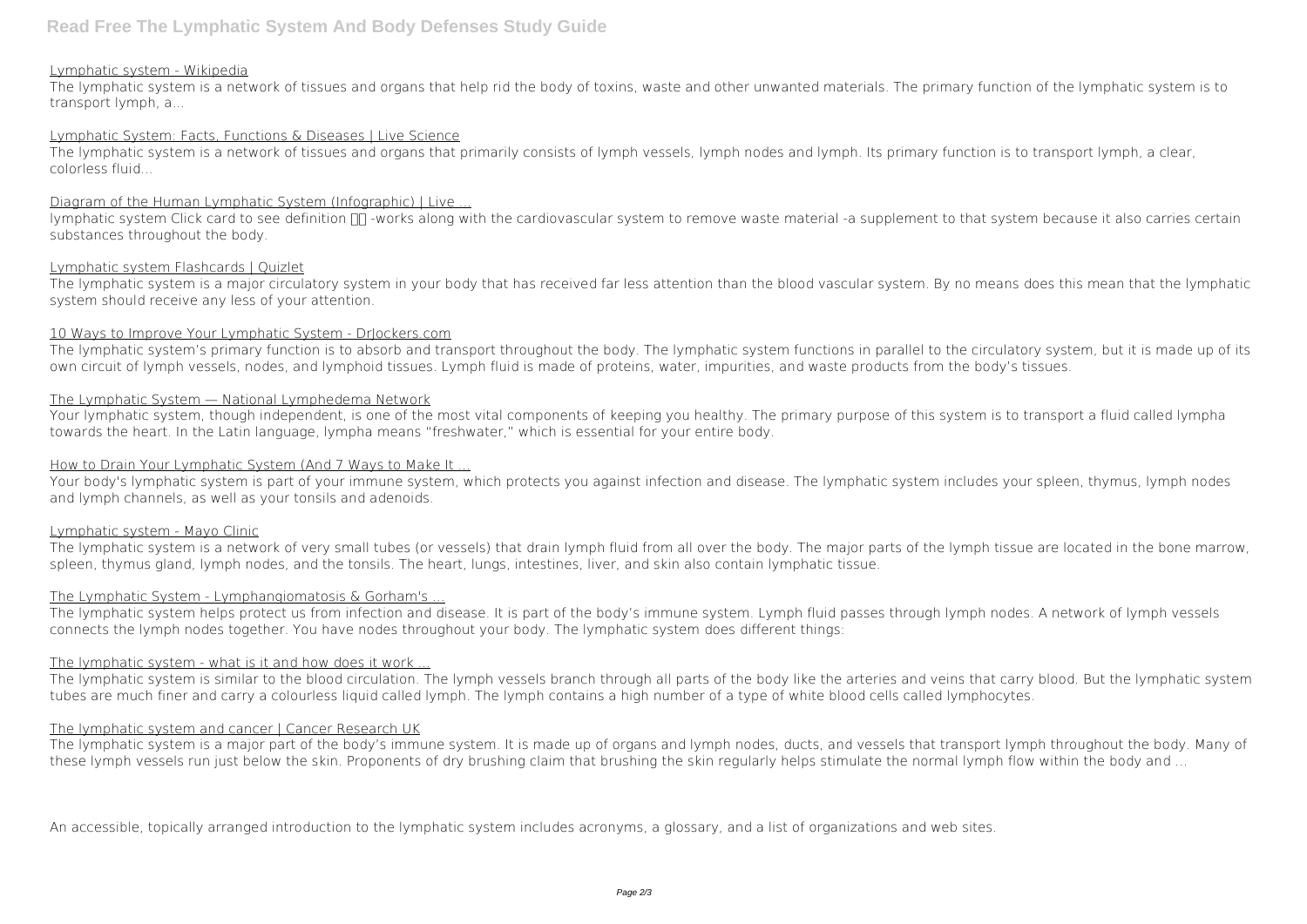## Lymphatic system - Wikipedia

The lymphatic system is a network of tissues and organs that help rid the body of toxins, waste and other unwanted materials. The primary function of the lymphatic system is to transport lymph, a...

# Lymphatic System: Facts, Functions & Diseases | Live Science

Iymphatic system Click card to see definition  $\Pi$ -works along with the cardiovascular system to remove waste material -a supplement to that system because it also carries certain substances throughout the body.

The lymphatic system is a network of tissues and organs that primarily consists of lymph vessels, lymph nodes and lymph. Its primary function is to transport lymph, a clear, colorless fluid...

# Diagram of the Human Lymphatic System (Infographic) | Live ...

## Lymphatic system Flashcards | Quizlet

The lymphatic system is a major circulatory system in your body that has received far less attention than the blood vascular system. By no means does this mean that the lymphatic system should receive any less of your attention.

## 10 Ways to Improve Your Lymphatic System - Drlockers.com

The lymphatic system's primary function is to absorb and transport throughout the body. The lymphatic system functions in parallel to the circulatory system, but it is made up of its own circuit of lymph vessels, nodes, and lymphoid tissues. Lymph fluid is made of proteins, water, impurities, and waste products from the body's tissues.

The lymphatic system is similar to the blood circulation. The lymph vessels branch through all parts of the body like the arteries and veins that carry blood. But the lymphatic system tubes are much finer and carry a colourless liquid called lymph. The lymph contains a high number of a type of white blood cells called lymphocytes.

## The Lymphatic System — National Lymphedema Network

The lymphatic system is a major part of the body's immune system. It is made up of organs and lymph nodes, ducts, and vessels that transport lymph throughout the body. Many of these lymph vessels run just below the skin. Proponents of dry brushing claim that brushing the skin regularly helps stimulate the normal lymph flow within the body and ...

Your lymphatic system, though independent, is one of the most vital components of keeping you healthy. The primary purpose of this system is to transport a fluid called lympha towards the heart. In the Latin language, lympha means "freshwater," which is essential for your entire body.

## How to Drain Your Lymphatic System (And 7 Ways to Make It ...

Your body's lymphatic system is part of your immune system, which protects you against infection and disease. The lymphatic system includes your spleen, thymus, lymph nodes and lymph channels, as well as your tonsils and adenoids.

## Lymphatic system - Mayo Clinic

The lymphatic system is a network of very small tubes (or vessels) that drain lymph fluid from all over the body. The major parts of the lymph tissue are located in the bone marrow, spleen, thymus gland, lymph nodes, and the tonsils. The heart, lungs, intestines, liver, and skin also contain lymphatic tissue.

# The Lymphatic System - Lymphangiomatosis & Gorham's ...

The lymphatic system helps protect us from infection and disease. It is part of the body's immune system. Lymph fluid passes through lymph nodes. A network of lymph vessels connects the lymph nodes together. You have nodes throughout your body. The lymphatic system does different things:

## The lymphatic system - what is it and how does it work ...

## The lymphatic system and cancer | Cancer Research UK

An accessible, topically arranged introduction to the lymphatic system includes acronyms, a glossary, and a list of organizations and web sites.